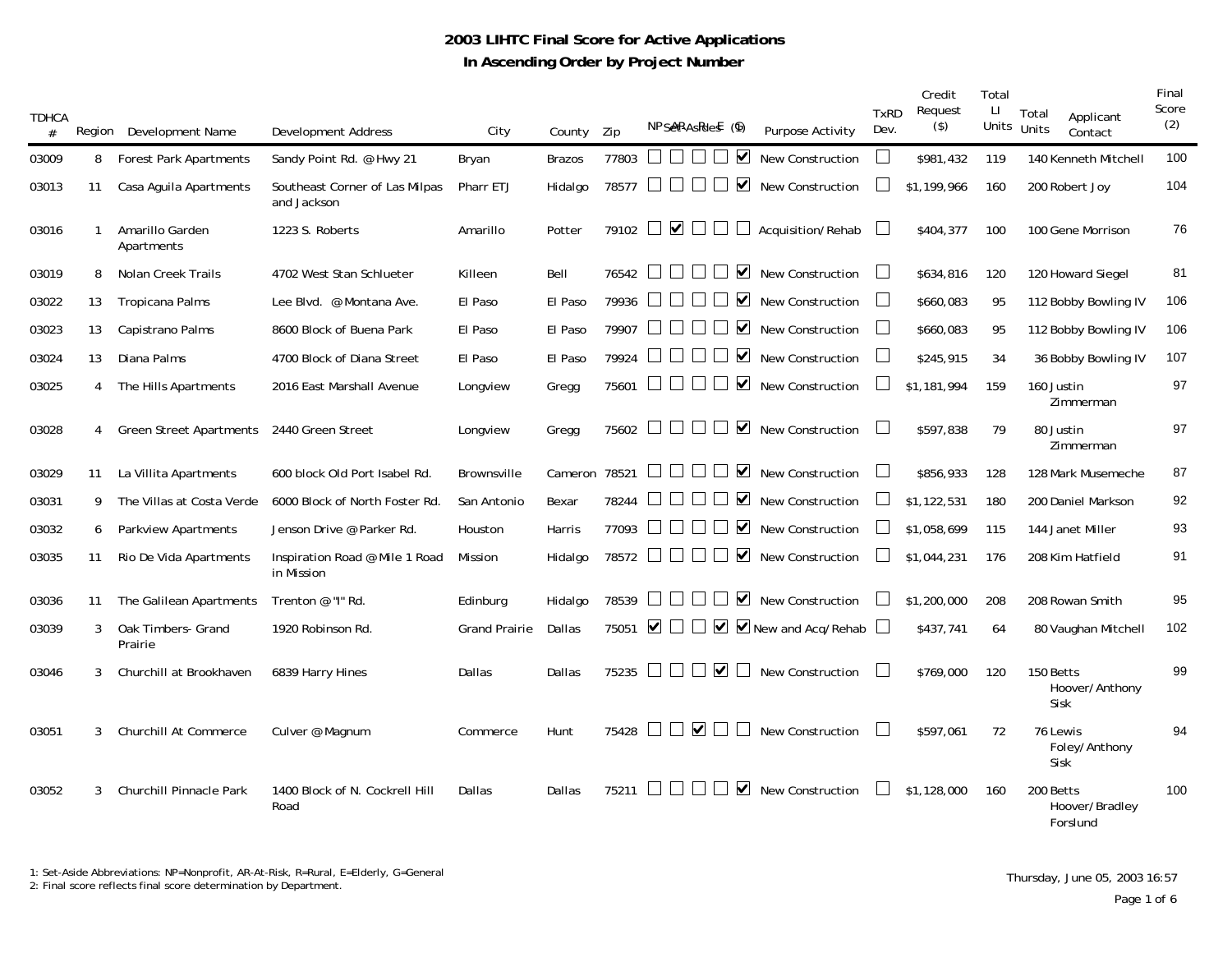## **2003 LIHTC Final Score for Active Applications In Ascending Order by Project Number**

| <b>TDHCA</b><br># |    | Region Development Name        | Development Address                           | City                 | County        | Zip     | NPSeRAsRief (6)                                                                    | <b>Purpose Activity</b>            | <b>TxRD</b><br>Dev. | Credit<br>Request<br>$($ \$) | Total<br>П<br>Units Units | Total<br>Applicant<br>Contact           | Final<br>Score<br>(2) |
|-------------------|----|--------------------------------|-----------------------------------------------|----------------------|---------------|---------|------------------------------------------------------------------------------------|------------------------------------|---------------------|------------------------------|---------------------------|-----------------------------------------|-----------------------|
| 03009             | 8  | <b>Forest Park Apartments</b>  | Sandy Point Rd. @ Hwy 21                      | Bryan                | <b>Brazos</b> | 77803   | ⊻                                                                                  | <b>New Construction</b>            |                     | \$981,432                    | 119                       | 140 Kenneth Mitchell                    | 100                   |
| 03013             | 11 | Casa Aguila Apartments         | Southeast Corner of Las Milpas<br>and Jackson | Pharr ETJ            | Hidalgo       | 78577   | $\blacktriangledown$<br>$\begin{array}{c} \square \end{array}$<br>$\Box$<br>$\Box$ | <b>New Construction</b>            |                     | \$1,199,966                  | 160                       | 200 Robert Joy                          | 104                   |
| 03016             | 1  | Amarillo Garden<br>Apartments  | 1223 S. Roberts                               | Amarillo             | Potter        |         | 79102 $\Box$ $\Box$<br>$\perp$<br>$\Box$                                           | Acquisition/Rehab                  |                     | \$404,377                    | 100                       | 100 Gene Morrison                       | 76                    |
| 03019             | 8  | Nolan Creek Trails             | 4702 West Stan Schlueter                      | Killeen              | Bell          | 76542   | $\blacktriangledown$                                                               | <b>New Construction</b>            |                     | \$634,816                    | 120                       | 120 Howard Siegel                       | 81                    |
| 03022             | 13 | <b>Tropicana Palms</b>         | Lee Blvd. @ Montana Ave.                      | El Paso              | El Paso       | 79936   | $\blacktriangledown$                                                               | New Construction                   | $\mathbf{L}$        | \$660,083                    | 95                        | 112 Bobby Bowling IV                    | 106                   |
| 03023             | 13 | Capistrano Palms               | 8600 Block of Buena Park                      | El Paso              | El Paso       | 79907   | $\blacktriangledown$                                                               | <b>New Construction</b>            | $\Box$              | \$660,083                    | 95                        | 112 Bobby Bowling IV                    | 106                   |
| 03024             | 13 | Diana Palms                    | 4700 Block of Diana Street                    | El Paso              | El Paso       | 79924   | $\blacktriangledown$                                                               | <b>New Construction</b>            | $\Box$              | \$245,915                    | 34                        | 36 Bobby Bowling IV                     | 107                   |
| 03025             | 4  | The Hills Apartments           | 2016 East Marshall Avenue                     | Longview             | Gregg         | 75601   | $\blacktriangledown$<br>$\mathbf{1}$                                               | <b>New Construction</b>            |                     | \$1,181,994                  | 159                       | 160 Justin<br>Zimmerman                 | 97                    |
| 03028             | 4  | <b>Green Street Apartments</b> | 2440 Green Street                             | Longview             | Gregg         | 75602   | $\blacktriangledown$<br>$\blacksquare$<br>$\vert \ \ \vert$                        | New Construction                   |                     | \$597,838                    | 79                        | 80 Justin<br>Zimmerman                  | 97                    |
| 03029             | 11 | La Villita Apartments          | 600 block Old Port Isabel Rd.                 | Brownsville          | Cameron 78521 |         | $\blacktriangledown$                                                               | <b>New Construction</b>            |                     | \$856,933                    | 128                       | 128 Mark Musemeche                      | 87                    |
| 03031             | 9  | The Villas at Costa Verde      | 6000 Block of North Foster Rd.                | San Antonio          | Bexar         | 78244   | $\blacktriangledown$                                                               | <b>New Construction</b>            |                     | \$1,122,531                  | 180                       | 200 Daniel Markson                      | 92                    |
| 03032             | 6  | Parkview Apartments            | Jenson Drive @ Parker Rd.                     | Houston              | Harris        | 77093   | $\blacktriangledown$<br>$\perp$                                                    | <b>New Construction</b>            |                     | \$1,058,699                  | 115                       | 144 Janet Miller                        | 93                    |
| 03035             | 11 | Rio De Vida Apartments         | Inspiration Road @ Mile 1 Road<br>in Mission  | Mission              | Hidalgo       | 78572   | $\blacktriangledown$<br>$\mathbb{R}^n$<br>$\Box$<br>$\Box$                         | <b>New Construction</b>            |                     | \$1,044,231                  | 176                       | 208 Kim Hatfield                        | 91                    |
| 03036             | 11 | The Galilean Apartments        | Trenton @ "I" Rd.                             | Edinburg             | Hidalgo       | 78539   | $\blacktriangledown$                                                               | <b>New Construction</b>            |                     | \$1,200,000                  | 208                       | 208 Rowan Smith                         | 95                    |
| 03039             | 3  | Oak Timbers- Grand<br>Prairie  | 1920 Robinson Rd.                             | <b>Grand Prairie</b> | Dallas        | 75051   | ▽ □<br>$\Box$                                                                      | $\triangleright$ New and Acq/Rehab |                     | \$437,741                    | 64                        | 80 Vaughan Mitchell                     | 102                   |
| 03046             | 3  | Churchill at Brookhaven        | 6839 Harry Hines                              | Dallas               | Dallas        | 75235   | $\blacktriangledown$<br>$\mathbf{1}$<br>$\Box$<br>$\mathbf{I}$                     | <b>New Construction</b>            |                     | \$769,000                    | 120                       | 150 Betts<br>Hoover/Anthony<br>Sisk     | 99                    |
| 03051             | 3  | Churchill At Commerce          | Culver @ Magnum                               | Commerce             | Hunt          | 75428   | $\overline{\mathbf{v}}$<br>$\perp$<br>$\mathbf{I}$<br>$\vert \ \ \vert$            | <b>New Construction</b>            |                     | \$597,061                    | 72                        | 76 Lewis<br>Foley/Anthony<br>Sisk       | 94                    |
| 03052             | 3  | Churchill Pinnacle Park        | 1400 Block of N. Cockrell Hill<br>Road        | Dallas               | Dallas        | $75211$ | ⊻                                                                                  | <b>New Construction</b>            |                     | \$1,128,000                  | 160                       | 200 Betts<br>Hoover/Bradley<br>Forslund | 100                   |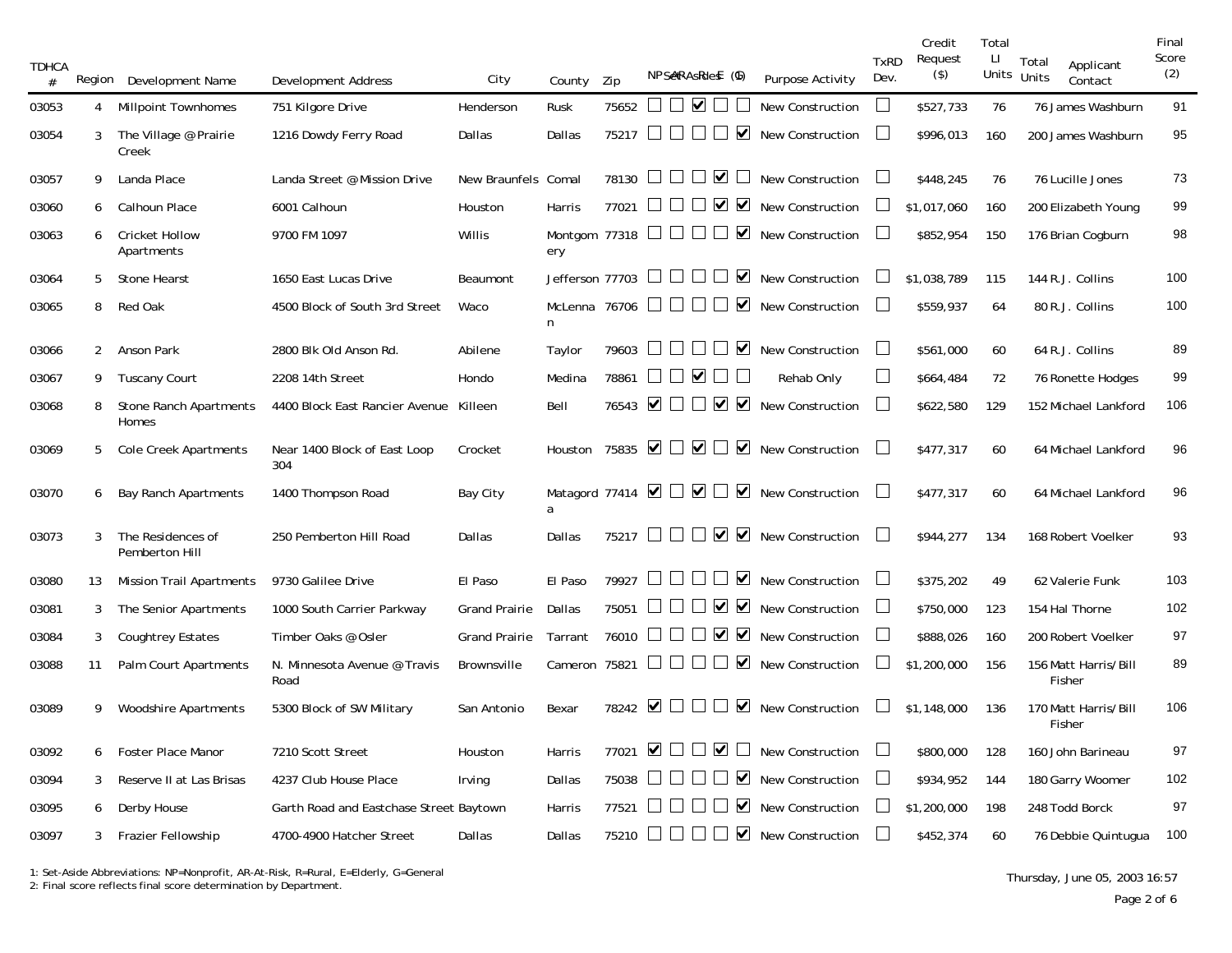| <b>TDHCA</b><br># |                | Region Development Name             | <b>Development Address</b>              | City                 | County                                  | Zip                  |                      | NPSeRAsRief (6)                |                                          | <b>Purpose Activity</b>                                            | <b>TxRD</b><br>Dev. | Credit<br>Request<br>$($ \$) | Total<br>Ч | Total<br>Units Units | Applicant<br>Contact | Final<br>Score<br>(2) |
|-------------------|----------------|-------------------------------------|-----------------------------------------|----------------------|-----------------------------------------|----------------------|----------------------|--------------------------------|------------------------------------------|--------------------------------------------------------------------|---------------------|------------------------------|------------|----------------------|----------------------|-----------------------|
| 03053             | 4              | <b>Millpoint Townhomes</b>          | 751 Kilgore Drive                       | Henderson            | Rusk                                    | 75652                |                      | $\square$ $\square$ $\square$  |                                          | <b>New Construction</b>                                            | ⊔                   | \$527,733                    | 76         |                      | 76 James Washburn    | 91                    |
| 03054             | 3              | The Village @ Prairie<br>Creek      | 1216 Dowdy Ferry Road                   | Dallas               | Dallas                                  | 75217 □              |                      |                                | $\blacktriangledown$<br>$\perp$          | <b>New Construction</b>                                            | ⊔                   | \$996,013                    | 160        |                      | 200 James Washburn   | 95                    |
| 03057             | 9              | Landa Place                         | Landa Street @ Mission Drive            | New Braunfels Comal  |                                         | 78130                |                      | $\Box$ $\vee$<br>$\mathbf{I}$  | $\begin{array}{c} \hline \end{array}$    | <b>New Construction</b>                                            | $\Box$              | \$448,245                    | 76         |                      | 76 Lucille Jones     | 73                    |
| 03060             | 6              | Calhoun Place                       | 6001 Calhoun                            | Houston              | Harris                                  | 77021                |                      |                                | $\vee$ $\vee$                            | <b>New Construction</b>                                            |                     | \$1,017,060                  | 160        |                      | 200 Elizabeth Young  | 99                    |
| 03063             | 6              | <b>Cricket Hollow</b><br>Apartments | 9700 FM 1097                            | Willis               | Montgom 77318 $\Box$ $\Box$<br>ery      |                      |                      |                                | $\blacktriangledown$<br>$\Box$           | <b>New Construction</b>                                            |                     | \$852,954                    | 150        |                      | 176 Brian Cogburn    | 98                    |
| 03064             | 5              | <b>Stone Hearst</b>                 | 1650 East Lucas Drive                   | Beaumont             | Jefferson 77703                         |                      | $\mathbf{1}$         | $\perp$                        | $\blacktriangledown$                     | <b>New Construction</b>                                            |                     | \$1,038,789                  | 115        |                      | 144 R.J. Collins     | 100                   |
| 03065             | 8              | <b>Red Oak</b>                      | 4500 Block of South 3rd Street          | Waco                 | McLenna 76706 $\Box$ $\Box$ $\Box$<br>n |                      |                      |                                |                                          | $\triangleright$ New Construction                                  | $\Box$              | \$559,937                    | 64         |                      | 80 R.J. Collins      | 100                   |
| 03066             | $\overline{2}$ | Anson Park                          | 2800 Blk Old Anson Rd.                  | Abilene              | Taylor                                  | 79603                |                      |                                |                                          | $\triangledown$ New Construction                                   | $\Box$              | \$561,000                    | 60         |                      | 64 R.J. Collins      | 89                    |
| 03067             | 9              | <b>Tuscany Court</b>                | 2208 14th Street                        | Hondo                | Medina                                  | 78861                |                      | $\Box\ \Box\ \lor\ \Box\ \Box$ |                                          | Rehab Only                                                         | $\Box$              | \$664,484                    | 72         |                      | 76 Ronette Hodges    | 99                    |
| 03068             | 8              | Stone Ranch Apartments<br>Homes     | 4400 Block East Rancier Avenue          | Killeen              | Bell                                    | 76543                |                      |                                |                                          | $\Box$ $\Box$ $\Box$ $\Box$ New Construction                       | $\Box$              | \$622,580                    | 129        |                      | 152 Michael Lankford | 106                   |
| 03069             | 5              | <b>Cole Creek Apartments</b>        | Near 1400 Block of East Loop<br>304     | Crocket              | Houston                                 | 75835                | $\blacktriangledown$ |                                |                                          | $\Box$ $\Box$ $\Box$ $\Box$ New Construction                       |                     | \$477,317                    | 60         |                      | 64 Michael Lankford  | 96                    |
| 03070             | 6              | <b>Bay Ranch Apartments</b>         | 1400 Thompson Road                      | Bay City             | a                                       |                      |                      |                                |                                          | Matagord 77414 $\Box$ $\Box$ $\Box$ $\Box$ $\Box$ New Construction | $\mathbf{I}$        | \$477,317                    | 60         |                      | 64 Michael Lankford  | 96                    |
| 03073             | 3              | The Residences of<br>Pemberton Hill | 250 Pemberton Hill Road                 | Dallas               | Dallas                                  |                      |                      |                                |                                          | 75217 $\Box$ $\Box$ $\Box$ $\Box$ $\Box$ New Construction          |                     | \$944,277                    | 134        |                      | 168 Robert Voelker   | 93                    |
| 03080             | 13             | <b>Mission Trail Apartments</b>     | 9730 Galilee Drive                      | El Paso              | El Paso                                 | 79927                |                      |                                | $\blacktriangledown$<br>$\Box$           | New Construction                                                   | $\Box$              | \$375,202                    | 49         |                      | 62 Valerie Funk      | 103                   |
| 03081             | 3              | The Senior Apartments               | 1000 South Carrier Parkway              | <b>Grand Prairie</b> | Dallas                                  | 75051                |                      |                                | ⊻⊻                                       | New Construction                                                   | $\Box$              | \$750,000                    | 123        |                      | 154 Hal Thorne       | 102                   |
| 03084             | 3              | <b>Coughtrey Estates</b>            | Timber Oaks @ Osler                     | <b>Grand Prairie</b> | Tarrant                                 | 76010                |                      | $\Box$ $\Box$ $\Box$           |                                          | <b>New Construction</b>                                            | $\Box$              | \$888,026                    | 160        |                      | 200 Robert Voelker   | 97                    |
| 03088             | 11             | Palm Court Apartments               | N. Minnesota Avenue @ Travis<br>Road    | Brownsville          | Cameron 75821                           |                      | <b>UUU</b>           |                                | $\Box$                                   | $\blacksquare$ New Construction                                    |                     | \$1,200,000                  | 156        | Fisher               | 156 Matt Harris/Bill | 89                    |
| 03089             | 9              | <b>Woodshire Apartments</b>         | 5300 Block of SW Military               | San Antonio          | Bexar                                   | 78242 $\blacksquare$ |                      |                                | $\perp$                                  | $\blacksquare$ New Construction                                    |                     | \$1,148,000                  | 136        | Fisher               | 170 Matt Harris/Bill | 106                   |
| 03092             | 6              | <b>Foster Place Manor</b>           | 7210 Scott Street                       | Houston              | Harris                                  | 77021                | $\blacktriangledown$ | $\Box$ $\vee$<br>$\mathcal{L}$ | $\perp$                                  | New Construction                                                   | $\Box$              | \$800,000                    | 128        |                      | 160 John Barineau    | 97                    |
| 03094             | 3              | Reserve II at Las Brisas            | 4237 Club House Place                   | <b>Irving</b>        | Dallas                                  | 75038                |                      |                                | ☑                                        | New Construction                                                   | $\Box$              | \$934,952                    | 144        |                      | 180 Garry Woomer     | 102                   |
| 03095             | 6              | Derby House                         | Garth Road and Eastchase Street Baytown |                      | Harris                                  | 77521                |                      |                                | $\blacktriangledown$                     | <b>New Construction</b>                                            | $\mathbf{I}$        | \$1,200,000                  | 198        |                      | 248 Todd Borck       | 97                    |
| 03097             | 3              | <b>Frazier Fellowship</b>           | 4700-4900 Hatcher Street                | Dallas               | Dallas                                  | 75210                |                      | <b>OUU</b>                     | $\begin{array}{c} \boxed{1} \end{array}$ | $\blacksquare$ New Construction                                    | $\perp$             | \$452,374                    | 60         |                      | 76 Debbie Quintugua  | 100                   |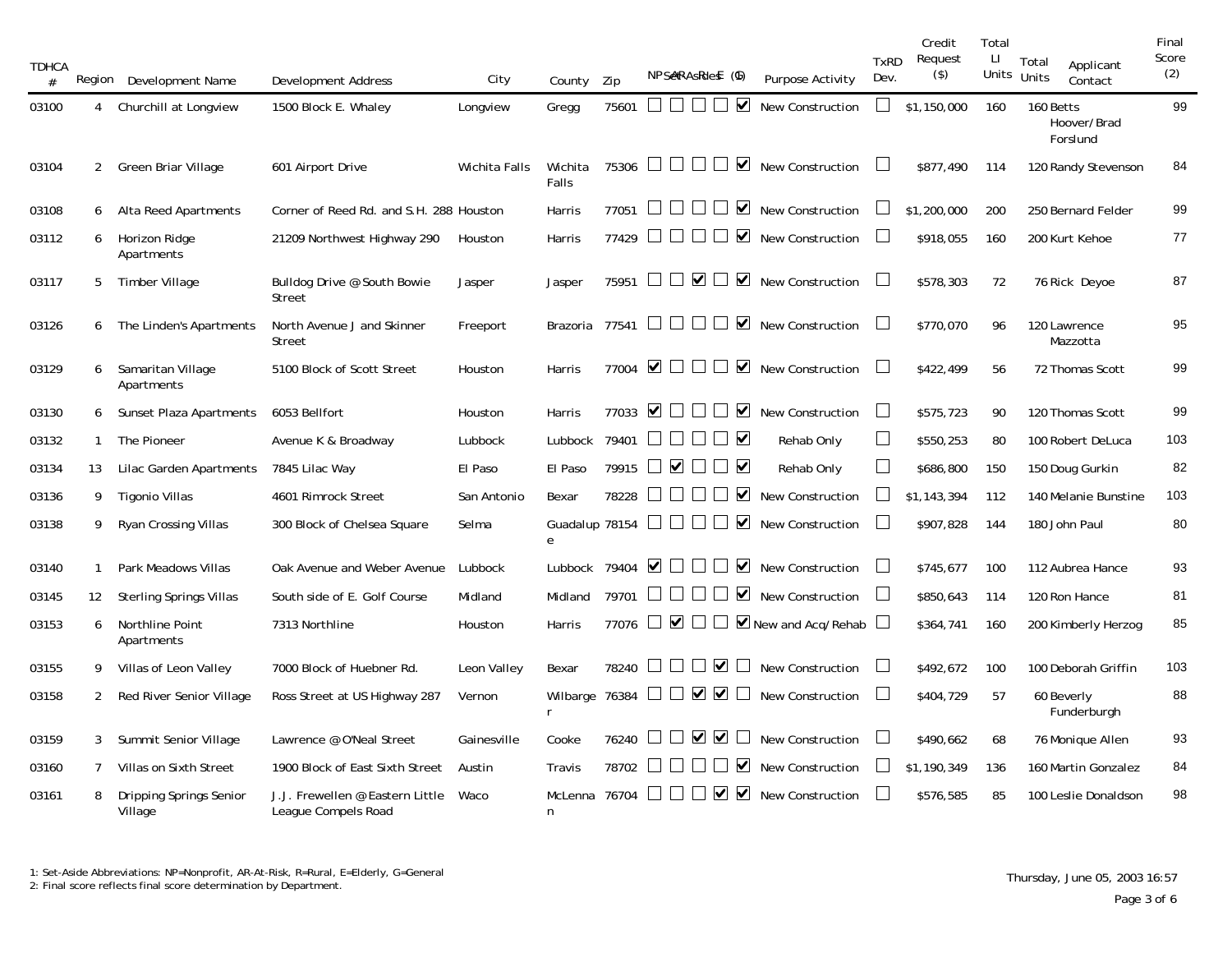| <b>TDHCA</b><br># |                | Region Development Name            | Development Address                                    | City          | County               | Zip   | NPSARAsRies (6)                                                       | <b>Purpose Activity</b>                | <b>TxRD</b><br>Dev.      | Credit<br>Request<br>$($ \$) | Total<br>П<br>Units Units | Total<br>Applicant<br>Contact        | Final<br>Score<br>(2) |
|-------------------|----------------|------------------------------------|--------------------------------------------------------|---------------|----------------------|-------|-----------------------------------------------------------------------|----------------------------------------|--------------------------|------------------------------|---------------------------|--------------------------------------|-----------------------|
| 03100             | 4              | Churchill at Longview              | 1500 Block E. Whaley                                   | Longview      | Gregg                | 75601 | M                                                                     | <b>New Construction</b>                |                          | \$1,150,000                  | 160                       | 160 Betts<br>Hoover/Brad<br>Forslund | 99                    |
| 03104             | $\overline{2}$ | Green Briar Village                | 601 Airport Drive                                      | Wichita Falls | Wichita<br>Falls     | 75306 | $\Box$<br>$\blacktriangledown$<br>$\mathbf{1}$<br>$\mathbf{I}$        | New Construction                       |                          | \$877.490                    | 114                       | 120 Randy Stevenson                  | 84                    |
| 03108             | 6              | Alta Reed Apartments               | Corner of Reed Rd. and S.H. 288 Houston                |               | Harris               | 77051 | $\blacktriangledown$                                                  | <b>New Construction</b>                |                          | \$1,200,000                  | 200                       | 250 Bernard Felder                   | 99                    |
| 03112             | 6              | Horizon Ridge<br>Apartments        | 21209 Northwest Highway 290                            | Houston       | Harris               | 77429 | $\blacktriangledown$<br>$\pm$<br>$\Box$                               | New Construction                       | $\Box$                   | \$918,055                    | 160                       | 200 Kurt Kehoe                       | 77                    |
| 03117             | 5              | Timber Village                     | Bulldog Drive @ South Bowie<br><b>Street</b>           | Jasper        | Jasper               | 75951 | ▏□▽<br>$\blacktriangledown$<br>$\perp$                                | New Construction                       | $\mathbb{R}$             | \$578,303                    | 72                        | 76 Rick Deyoe                        | 87                    |
| 03126             | 6              | The Linden's Apartments            | North Avenue J and Skinner<br>Street                   | Freeport      | Brazoria             |       | 77541 $\Box$ $\Box$ $\Box$<br>$\blacktriangledown$<br>$\perp$         | <b>New Construction</b>                |                          | \$770,070                    | 96                        | 120 Lawrence<br>Mazzotta             | 95                    |
| 03129             | 6              | Samaritan Village<br>Apartments    | 5100 Block of Scott Street                             | Houston       | Harris               |       | 77004 $\blacksquare$<br>$\blacktriangledown$<br>$\perp$               | <b>New Construction</b>                |                          | \$422,499                    | 56                        | 72 Thomas Scott                      | 99                    |
| 03130             | 6              | Sunset Plaza Apartments            | 6053 Bellfort                                          | Houston       | Harris               | 77033 | $\blacktriangledown$<br>$\blacktriangledown$<br>$\mathsf{L}$          | <b>New Construction</b>                | $\Box$                   | \$575,723                    | 90                        | 120 Thomas Scott                     | 99                    |
| 03132             | 1              | The Pioneer                        | Avenue K & Broadway                                    | Lubbock       | Lubbock              | 79401 | □▽<br>$\Box$<br>$\Box$                                                | Rehab Only                             | $\overline{\phantom{a}}$ | \$550,253                    | 80                        | 100 Robert DeLuca                    | 103                   |
| 03134             | 13             | Lilac Garden Apartments            | 7845 Lilac Way                                         | El Paso       | El Paso              | 79915 | $\blacktriangledown$<br>$\Box$                                        | Rehab Only                             | $\overline{\phantom{a}}$ | \$686,800                    | 150                       | 150 Doug Gurkin                      | 82                    |
| 03136             | 9              | Tigonio Villas                     | 4601 Rimrock Street                                    | San Antonio   | Bexar                | 78228 | $\blacktriangledown$<br>$\Box$                                        | New Construction                       | $\Box$                   | \$1,143,394                  | 112                       | 140 Melanie Bunstine                 | 103                   |
| 03138             | 9              | Ryan Crossing Villas               | 300 Block of Chelsea Square                            | Selma         | Guadalup 78154<br>e  |       | $\blacktriangledown$<br><b>The Common</b><br>$\Box$<br>$\mathbb{R}^n$ | New Construction                       | $\Box$                   | \$907,828                    | 144                       | 180 John Paul                        | 80                    |
| 03140             | $\mathbf{1}$   | Park Meadows Villas                | Oak Avenue and Weber Avenue                            | Lubbock       | Lubbock              | 79404 | $\blacktriangledown$ $\Box$<br>$\blacktriangledown$                   | <b>New Construction</b>                | L                        | \$745,677                    | 100                       | 112 Aubrea Hance                     | 93                    |
| 03145             | 12             | Sterling Springs Villas            | South side of E. Golf Course                           | Midland       | Midland              | 79701 | ☑<br>$\perp$                                                          | New Construction                       | $\Box$                   | \$850,643                    | 114                       | 120 Ron Hance                        | 81                    |
| 03153             | 6              | Northline Point<br>Apartments      | 7313 Northline                                         | Houston       | Harris               | 77076 | $\Box$ $\lor$ $\Box$                                                  | $\Box$ $\Box$ New and Acg/Rehab $\Box$ |                          | \$364,741                    | 160                       | 200 Kimberly Herzog                  | 85                    |
| 03155             | 9              | Villas of Leon Valley              | 7000 Block of Huebner Rd.                              | Leon Valley   | Bexar                | 78240 | $\blacktriangledown$<br>$\perp$                                       | New Construction                       |                          | \$492,672                    | 100                       | 100 Deborah Griffin                  | 103                   |
| 03158             | $\mathbf{2}$   | Red River Senior Village           | Ross Street at US Highway 287                          | Vernon        | Wilbarge 76384<br>r. |       | $\Box\Box\trianglerighteq\Box\trianglerighteq\Box$                    | <b>New Construction</b>                | $\overline{\phantom{a}}$ | \$404,729                    | 57                        | 60 Beverly<br>Funderburgh            | 88                    |
| 03159             | 3              | Summit Senior Village              | Lawrence @ O'Neal Street                               | Gainesville   | Cooke                | 76240 | ✔▼<br>$\perp$                                                         | <b>New Construction</b>                |                          | \$490,662                    | 68                        | 76 Monique Allen                     | 93                    |
| 03160             | 7              | Villas on Sixth Street             | 1900 Block of East Sixth Street                        | Austin        | Travis               | 78702 | $\blacktriangledown$                                                  | <b>New Construction</b>                |                          | \$1,190,349                  | 136                       | 160 Martin Gonzalez                  | 84                    |
| 03161             | 8              | Dripping Springs Senior<br>Village | J.J. Frewellen @ Eastern Little<br>League Compels Road | Waco          | McLenna<br>n         | 76704 | $\blacktriangledown$<br>$\blacktriangledown$                          | <b>New Construction</b>                |                          | \$576,585                    | 85                        | 100 Leslie Donaldson                 | 98                    |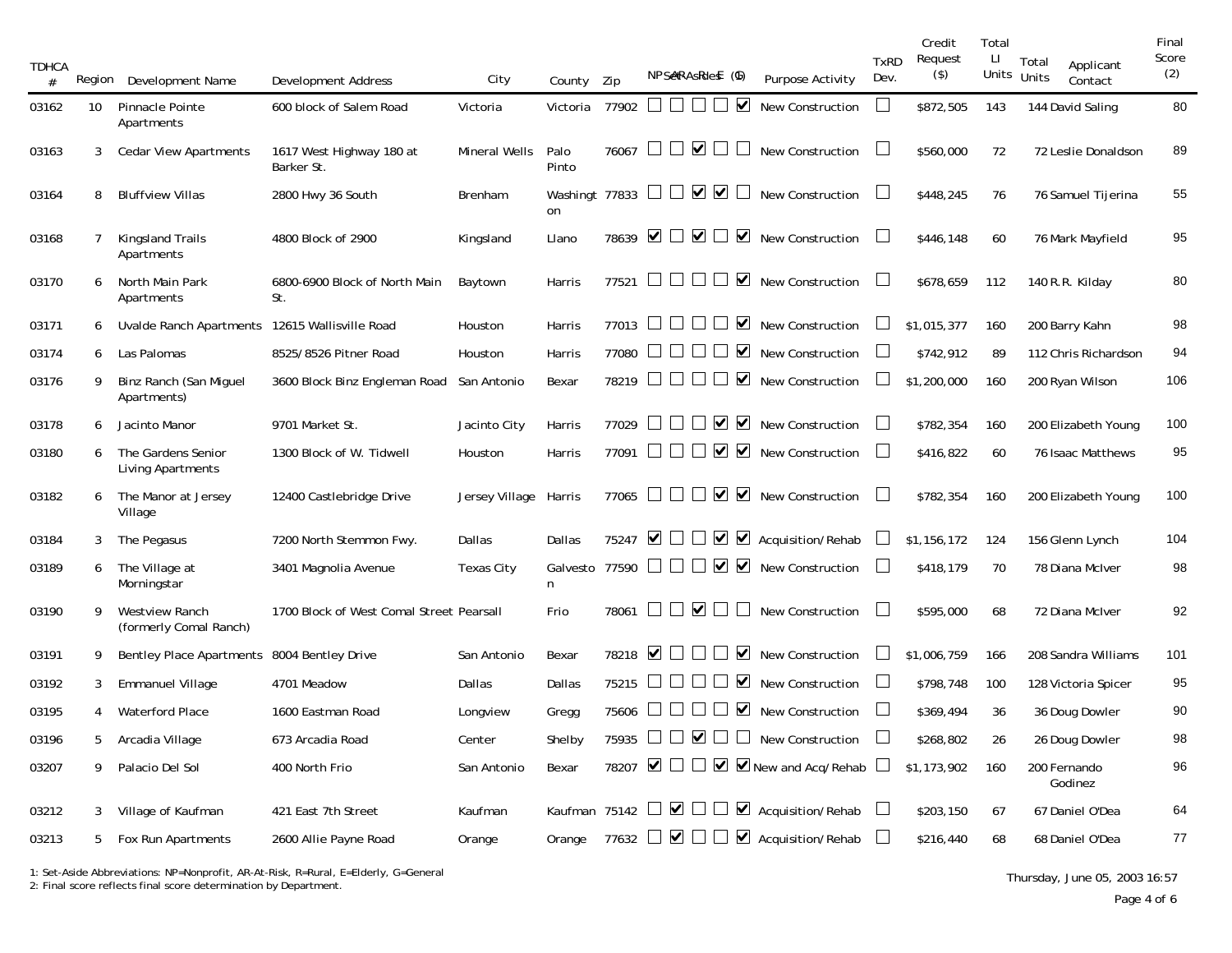| <b>TDHCA</b><br># | Region | Development Name                                | Development Address                      | City                 | County               | Zip   | NPSARAsRief (6)                                              |                                              | <b>Purpose Activity</b>                                            | <b>TxRD</b><br>Dev.      | Credit<br>Request<br>$($ \$) | Total<br>Ш | Total<br>Applicant<br>Units Units<br>Contact | Final<br>Score<br>(2) |
|-------------------|--------|-------------------------------------------------|------------------------------------------|----------------------|----------------------|-------|--------------------------------------------------------------|----------------------------------------------|--------------------------------------------------------------------|--------------------------|------------------------------|------------|----------------------------------------------|-----------------------|
| 03162             | 10     | Pinnacle Pointe<br>Apartments                   | 600 block of Salem Road                  | Victoria             | Victoria             | 77902 | 88 S S S                                                     | $\blacktriangledown$                         | <b>New Construction</b>                                            |                          | \$872,505                    | 143        | 144 David Saling                             | 80                    |
| 03163             | 3      | <b>Cedar View Apartments</b>                    | 1617 West Highway 180 at<br>Barker St.   | <b>Mineral Wells</b> | Palo<br>Pinto        | 76067 | $\blacktriangledown$ $\Box$<br>$\mathcal{L}$<br>$\mathbf{1}$ | $\mathbf{1}$                                 | <b>New Construction</b>                                            | L                        | \$560,000                    | 72         | 72 Leslie Donaldson                          | 89                    |
| 03164             | 8      | <b>Bluffview Villas</b>                         | 2800 Hwy 36 South                        | Brenham              | on                   |       | Washingt 77833 $\Box$ $\Box$ $\Box$ $\Box$                   |                                              | New Construction                                                   | $\mathbf{L}$             | \$448,245                    | 76         | 76 Samuel Tijerina                           | 55                    |
| 03168             | 7      | Kingsland Trails<br>Apartments                  | 4800 Block of 2900                       | Kingsland            | Llano                |       |                                                              |                                              | 78639 $\Box$ $\Box$ $\Box$ $\Box$ New Construction                 | $\Box$                   | \$446,148                    | 60         | 76 Mark Mayfield                             | 95                    |
| 03170             |        | North Main Park<br>Apartments                   | 6800-6900 Block of North Main<br>St.     | Baytown              | Harris               | 77521 | $\Box$<br>$\perp$<br>$\mathcal{L}$                           | $\blacktriangleright$<br>$\perp$             | New Construction                                                   | $\mathbf{I}$             | \$678,659                    | 112        | 140 R.R. Kilday                              | 80                    |
| 03171             | 6      | Uvalde Ranch Apartments                         | 12615 Wallisville Road                   | Houston              | Harris               | 77013 |                                                              | ☑                                            | New Construction                                                   |                          | \$1,015,377                  | 160        | 200 Barry Kahn                               | 98                    |
| 03174             | 6      | Las Palomas                                     | 8525/8526 Pitner Road                    | Houston              | Harris               | 77080 |                                                              | $\blacktriangledown$                         | <b>New Construction</b>                                            |                          | \$742,912                    | 89         | 112 Chris Richardson                         | 94                    |
| 03176             | 9      | Binz Ranch (San Miguel<br>Apartments)           | 3600 Block Binz Engleman Road            | San Antonio          | Bexar                | 78219 |                                                              | $\blacktriangledown$                         | New Construction                                                   |                          | \$1,200,000                  | 160        | 200 Ryan Wilson                              | 106                   |
| 03178             | 6      | Jacinto Manor                                   | 9701 Market St.                          | Jacinto City         | Harris               | 77029 | $\mathbb{R}^n$<br>$\blacksquare$                             | ✔                                            | <b>New Construction</b>                                            | $\Box$                   | \$782,354                    | 160        | 200 Elizabeth Young                          | 100                   |
| 03180             | 6      | The Gardens Senior<br><b>Living Apartments</b>  | 1300 Block of W. Tidwell                 | Houston              | Harris               | 77091 | $\Box$<br>$\perp$                                            | $\blacktriangledown$<br>$\blacktriangledown$ | New Construction                                                   | $\mathbf{L}$             | \$416,822                    | 60         | 76 Isaac Matthews                            | 95                    |
| 03182             | 6      | The Manor at Jersey<br>Village                  | 12400 Castlebridge Drive                 | Jersey Village       | Harris               | 77065 | $\Box$ $\Box$ $\Box$ $\Box$ $\lor$                           |                                              | New Construction                                                   | $\mathbf{L}$             | \$782,354                    | 160        | 200 Elizabeth Young                          | 100                   |
| 03184             | 3      | The Pegasus                                     | 7200 North Stemmon Fwy.                  | Dallas               | Dallas               | 75247 | $\blacktriangledown$<br>$\perp$                              | ☑<br>$\blacktriangledown$                    | Acquisition/Rehab                                                  |                          | \$1,156,172                  | 124        | 156 Glenn Lynch                              | 104                   |
| 03189             | 6      | The Village at<br>Morningstar                   | 3401 Magnolia Avenue                     | Texas City           | Galvesto 77590<br>n. |       | $\mathcal{L}$                                                | ▁▁v                                          | <b>New Construction</b>                                            | $\mathbf{L}$             | \$418,179                    | 70         | 78 Diana McIver                              | 98                    |
| 03190             | 9      | <b>Westview Ranch</b><br>(formerly Comal Ranch) | 1700 Block of West Comal Street Pearsall |                      | Frio                 | 78061 | $\Box\quad \Box \lor \Box$                                   | $\mathbf{L}$                                 | <b>New Construction</b>                                            |                          | \$595,000                    | 68         | 72 Diana McIver                              | 92                    |
| 03191             | 9      | <b>Bentley Place Apartments</b>                 | 8004 Bentley Drive                       | San Antonio          | Bexar                | 78218 | $\blacktriangledown$<br>$\mathcal{L}$<br>$\mathbf{L}$        | $\blacktriangledown$                         | <b>New Construction</b>                                            |                          | \$1,006,759                  | 166        | 208 Sandra Williams                          | 101                   |
| 03192             | 3      | <b>Emmanuel Village</b>                         | 4701 Meadow                              | Dallas               | Dallas               | 75215 | $\Box$                                                       | $\blacktriangledown$                         | New Construction                                                   | $\overline{\phantom{a}}$ | \$798,748                    | 100        | 128 Victoria Spicer                          | 95                    |
| 03195             | 4      | <b>Waterford Place</b>                          | 1600 Eastman Road                        | Longview             | Gregg                | 75606 |                                                              | $\blacktriangledown$                         | <b>New Construction</b>                                            |                          | \$369,494                    | 36         | 36 Doug Dowler                               | 90                    |
| 03196             | 5      | Arcadia Village                                 | 673 Arcadia Road                         | Center               | Shelby               |       |                                                              |                                              | 75935 $\Box$ $\Box$ $\Box$ $\Box$ New Construction                 |                          | \$268,802                    | 26         | 26 Doug Dowler                               | 98                    |
| 03207             | 9      | Palacio Del Sol                                 | 400 North Frio                           | San Antonio          | Bexar                |       |                                                              |                                              | 78207 $\Box$ $\Box$ $\Box$ $\Box$ $\Box$ New and Acq/Rehab $\Box$  |                          | \$1,173,902                  | 160        | 200 Fernando<br>Godinez                      | 96                    |
| 03212             | 3      | Village of Kaufman                              | 421 East 7th Street                      | Kaufman              |                      |       |                                                              |                                              | Kaufman 75142 $\Box$ $\Box$ $\Box$ $\Box$ Acquisition/Rehab $\Box$ |                          | \$203,150                    | 67         | 67 Daniel O'Dea                              | 64                    |
| 03213             |        | 5 Fox Run Apartments                            | 2600 Allie Payne Road                    | Orange               | Orange               |       |                                                              |                                              | 77632 $\Box$ $\Box$ $\Box$ $\Box$ $\Box$ Acquisition/Rehab $\Box$  |                          | \$216,440                    | 68         | 68 Daniel O'Dea                              | 77                    |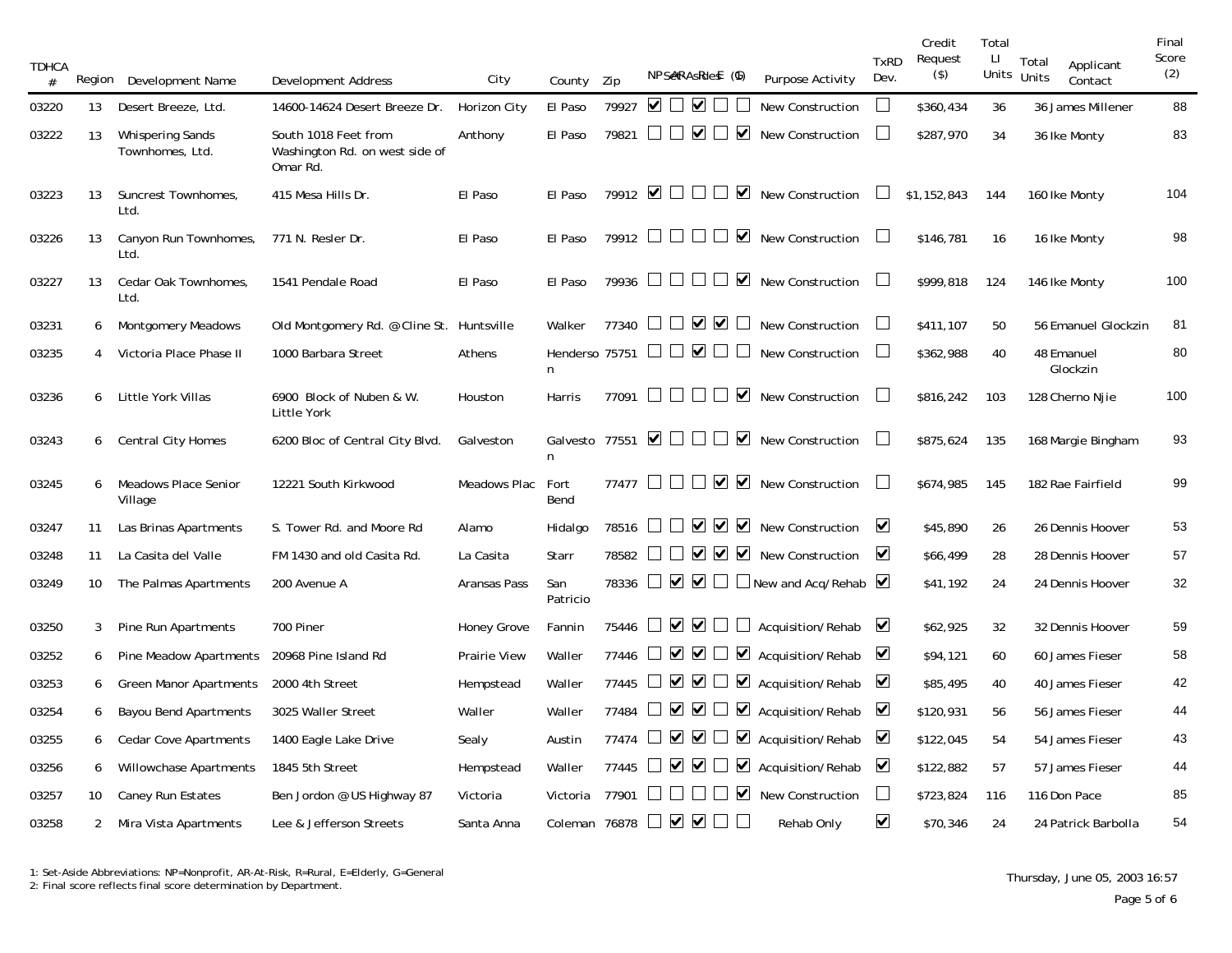| <b>TDHCA</b><br># | Region         | Development Name                           | <b>Development Address</b>                                         | City               | County          | Zip   | NPSeRAsRies (6)                                                  |                      | Purpose Activity                                                                      | <b>TxRD</b><br>Dev.     | Credit<br>Request<br>$($ \$) | Total<br>П | Total<br>Applicant<br>Units Units<br>Contact | Final<br>Score<br>(2) |
|-------------------|----------------|--------------------------------------------|--------------------------------------------------------------------|--------------------|-----------------|-------|------------------------------------------------------------------|----------------------|---------------------------------------------------------------------------------------|-------------------------|------------------------------|------------|----------------------------------------------|-----------------------|
| 03220             | 13             | Desert Breeze, Ltd.                        | 14600-14624 Desert Breeze Dr.                                      | Horizon City       | El Paso         | 79927 | $\blacksquare$                                                   |                      | New Construction                                                                      |                         | \$360,434                    | 36         | 36 James Millener                            | 88                    |
| 03222             | 13             | <b>Whispering Sands</b><br>Townhomes, Ltd. | South 1018 Feet from<br>Washington Rd. on west side of<br>Omar Rd. | Anthony            | El Paso         | 79821 | $\Box\quad \Box \lor \Box$                                       | $\blacktriangledown$ | <b>New Construction</b>                                                               | ⊔                       | \$287,970                    | 34         | 36 Ike Monty                                 | 83                    |
| 03223             | 13             | Suncrest Townhomes,<br>Ltd.                | 415 Mesa Hills Dr.                                                 | El Paso            | El Paso         |       | $79912$ $\blacksquare$                                           | ☑                    | New Construction                                                                      |                         | \$1,152,843                  | 144        | 160 Ike Monty                                | 104                   |
| 03226             | 13             | Canyon Run Townhomes,<br>Ltd.              | 771 N. Resler Dr.                                                  | El Paso            | El Paso         |       | $79912$ $\Box$ $\Box$ $\Box$                                     | $\blacktriangledown$ | <b>New Construction</b>                                                               | $\Box$                  | \$146,781                    | 16         | 16 Ike Monty                                 | 98                    |
| 03227             | 13             | Cedar Oak Townhomes,<br>Ltd.               | 1541 Pendale Road                                                  | El Paso            | El Paso         |       | 79936                                                            | $\blacktriangledown$ | New Construction                                                                      | $\Box$                  | \$999,818                    | 124        | 146 Ike Monty                                | 100                   |
| 03231             | 6              | <b>Montgomery Meadows</b>                  | Old Montgomery Rd. @ Cline St. Huntsville                          |                    | Walker          | 77340 | $\begin{array}{c} \square \ \triangledown \ \square \end{array}$ |                      | New Construction                                                                      | $\Box$                  | \$411,107                    | 50         | 56 Emanuel Glockzin                          | 81                    |
| 03235             | 4              | Victoria Place Phase II                    | 1000 Barbara Street                                                | Athens             | n               |       | Henderso 75751 $\Box$ $\Box$ $\Box$                              |                      | <b>New Construction</b>                                                               | $\mathbf{L}$            | \$362,988                    | 40         | 48 Emanuel<br>Glockzin                       | 80                    |
| 03236             | 6              | Little York Villas                         | 6900 Block of Nuben & W.<br>Little York                            | Houston            | Harris          |       | 77091 $\Box$ $\Box$ $\Box$<br>$\perp$                            |                      | $\triangleright$ New Construction                                                     |                         | \$816,242                    | 103        | 128 Cherno Njie                              | 100                   |
| 03243             | 6              | Central City Homes                         | 6200 Bloc of Central City Blvd.                                    | Galveston          | n               |       | Galvesto 77551 $\blacksquare$<br>$\mathbb{R}^n$                  | $\blacktriangledown$ | <b>New Construction</b>                                                               |                         | \$875,624                    | 135        | 168 Margie Bingham                           | 93                    |
| 03245             | 6              | Meadows Place Senior<br>Village            | 12221 South Kirkwood                                               | Meadows Plac       | Fort<br>Bend    |       | 77477 $\Box$ $\Box$ $\Box$ $\Box$ $\Box$ $\Box$                  |                      | New Construction                                                                      |                         | \$674,985                    | 145        | 182 Rae Fairfield                            | 99                    |
| 03247             | 11             | Las Brinas Apartments                      | S. Tower Rd. and Moore Rd                                          | Alamo              | Hidalgo         | 78516 | VVV<br>$\mathcal{L}$                                             |                      | New Construction                                                                      | ⊻                       | \$45,890                     | 26         | 26 Dennis Hoover                             | 53                    |
| 03248             | 11             | La Casita del Valle                        | FM 1430 and old Casita Rd.                                         | La Casita          | Starr           | 78582 |                                                                  |                      | $\Box$ $\Box$ $\Box$ $\Box$ $\Box$ $\Box$ New Construction                            | ☑                       | \$66,499                     | 28         | 28 Dennis Hoover                             | 57                    |
| 03249             | 10             | The Palmas Apartments                      | 200 Avenue A                                                       | Aransas Pass       | San<br>Patricio |       |                                                                  |                      | 78336 $\Box$ $\Box$ $\Box$ $\Box$ New and Acq/Rehab $\Box$                            |                         | \$41,192                     | 24         | 24 Dennis Hoover                             | 32                    |
| 03250             | 3 <sup>7</sup> | Pine Run Apartments                        | 700 Piner                                                          | <b>Honey Grove</b> | Fannin          |       |                                                                  |                      | 75446 $\Box$ $\Box$ $\Box$ $\Box$ Acquisition/Rehab $\Box$                            |                         | \$62,925                     | 32         | 32 Dennis Hoover                             | 59                    |
| 03252             | 6              | Pine Meadow Apartments                     | 20968 Pine Island Rd                                               | Prairie View       | Waller          |       |                                                                  |                      | 77446 $\Box$ $\Box$ $\Box$ $\Box$ $\Box$ Acquisition/Rehab $\Box$                     |                         | \$94,121                     | 60         | 60 James Fieser                              | 58                    |
| 03253             | 6              | <b>Green Manor Apartments</b>              | 2000 4th Street                                                    | Hempstead          | Waller          |       |                                                                  |                      | 77445 $\Box$ $\Box$ $\Box$ $\Box$ $\Box$ Acquisition/Rehab $\Box$                     |                         | \$85,495                     | 40         | 40 James Fieser                              | 42                    |
| 03254             | 6              | <b>Bayou Bend Apartments</b>               | 3025 Waller Street                                                 | Waller             | Waller          |       |                                                                  |                      | 77484 $\Box$ $\Box$ $\Box$ $\Box$ $\Box$ Acquisition/Rehab                            | $\blacktriangledown$    | \$120,931                    | 56         | 56 James Fieser                              | 44                    |
| 03255             | 6              | <b>Cedar Cove Apartments</b>               | 1400 Eagle Lake Drive                                              | Sealy              | Austin          |       |                                                                  |                      | 77474 $\Box$ $\Box$ $\Box$ $\Box$ $\Box$ Acquisition/Rehab                            | ⊻                       | \$122,045                    | 54         | 54 James Fieser                              | 43                    |
| 03256             | 6              | Willowchase Apartments                     | 1845 5th Street                                                    | Hempstead          | Waller          | 77445 |                                                                  |                      | $\triangleright$ $\triangleright$ $\triangleright$ $\triangleright$ Acquisition/Rehab | $\overline{\mathbf{v}}$ | \$122,882                    | 57         | 57 James Fieser                              | 44                    |
| 03257             | 10             | Caney Run Estates                          | Ben Jordon @ US Highway 87                                         | Victoria           | Victoria        | 77901 |                                                                  |                      | $\Box$ $\Box$ New Construction                                                        | $\Box$                  | \$723,824                    | 116        | 116 Don Pace                                 | 85                    |
| 03258             | $\overline{2}$ | Mira Vista Apartments                      | Lee & Jefferson Streets                                            | Santa Anna         | Coleman 76878   |       |                                                                  |                      | Rehab Only                                                                            | $\blacktriangledown$    | \$70,346                     | 24         | 24 Patrick Barbolla                          | 54                    |